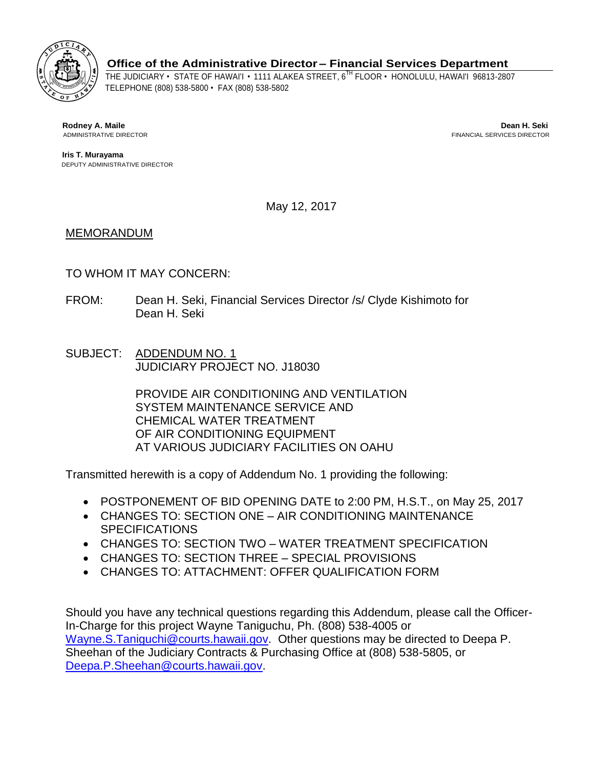

**Office of the Administrative Director – Financial Services Department**

THE JUDICIARY • STATE OF HAWAI'I • 1111 ALAKEA STREET, 6TH FLOOR • HONOLULU, HAWAI'I 96813-2807 TELEPHONE (808) 538-5800 • FAX (808) 538-5802

**Rodney A. Maile Dean H. Seki** ADMINISTRATIVE DIRECTOR FINANCIAL SERVICES DIRECTOR

 **Iris T. Murayama** DEPUTY ADMINISTRATIVE DIRECTOR

May 12, 2017

# MEMORANDUM

# TO WHOM IT MAY CONCERN:

- FROM: Dean H. Seki, Financial Services Director /s/ Clyde Kishimoto for Dean H. Seki
- SUBJECT: ADDENDUM NO. 1 JUDICIARY PROJECT NO. J18030

PROVIDE AIR CONDITIONING AND VENTILATION SYSTEM MAINTENANCE SERVICE AND CHEMICAL WATER TREATMENT OF AIR CONDITIONING EQUIPMENT AT VARIOUS JUDICIARY FACILITIES ON OAHU

Transmitted herewith is a copy of Addendum No. 1 providing the following:

- POSTPONEMENT OF BID OPENING DATE to 2:00 PM, H.S.T., on May 25, 2017
- CHANGES TO: SECTION ONE AIR CONDITIONING MAINTENANCE **SPECIFICATIONS**
- CHANGES TO: SECTION TWO WATER TREATMENT SPECIFICATION
- CHANGES TO: SECTION THREE SPECIAL PROVISIONS
- CHANGES TO: ATTACHMENT: OFFER QUALIFICATION FORM

Should you have any technical questions regarding this Addendum, please call the Officer-In-Charge for this project Wayne Taniguchu, Ph. (808) 538-4005 or [Wayne.S.Taniguchi@courts.hawaii.gov.](mailto:Wayne.S.Taniguchi@courts.hawaii.gov) Other questions may be directed to Deepa P. Sheehan of the Judiciary Contracts & Purchasing Office at (808) 538-5805, or [Deepa.P.Sheehan@courts.hawaii.gov.](mailto:Deepa.P.Sheehan@courts.hawaii.gov)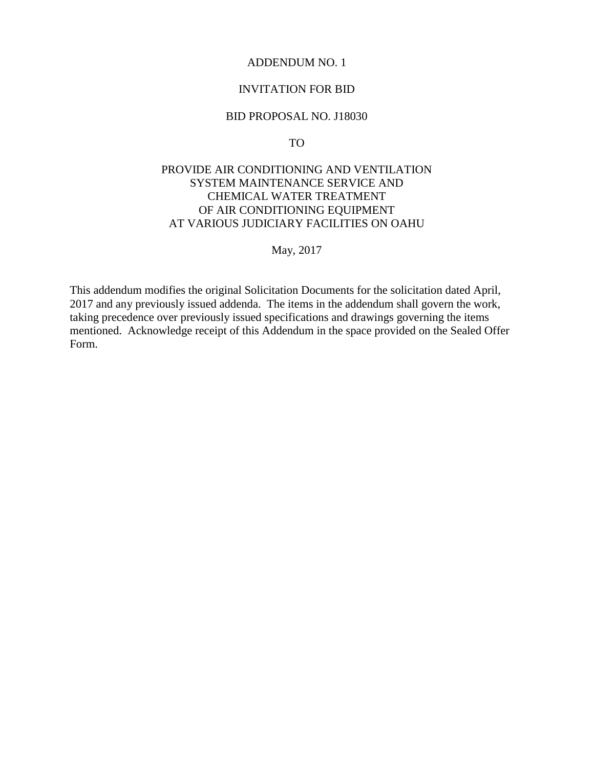#### ADDENDUM NO. 1

### INVITATION FOR BID

#### BID PROPOSAL NO. J18030

TO

# PROVIDE AIR CONDITIONING AND VENTILATION SYSTEM MAINTENANCE SERVICE AND CHEMICAL WATER TREATMENT OF AIR CONDITIONING EQUIPMENT AT VARIOUS JUDICIARY FACILITIES ON OAHU

May, 2017

This addendum modifies the original Solicitation Documents for the solicitation dated April, 2017 and any previously issued addenda. The items in the addendum shall govern the work, taking precedence over previously issued specifications and drawings governing the items mentioned. Acknowledge receipt of this Addendum in the space provided on the Sealed Offer Form.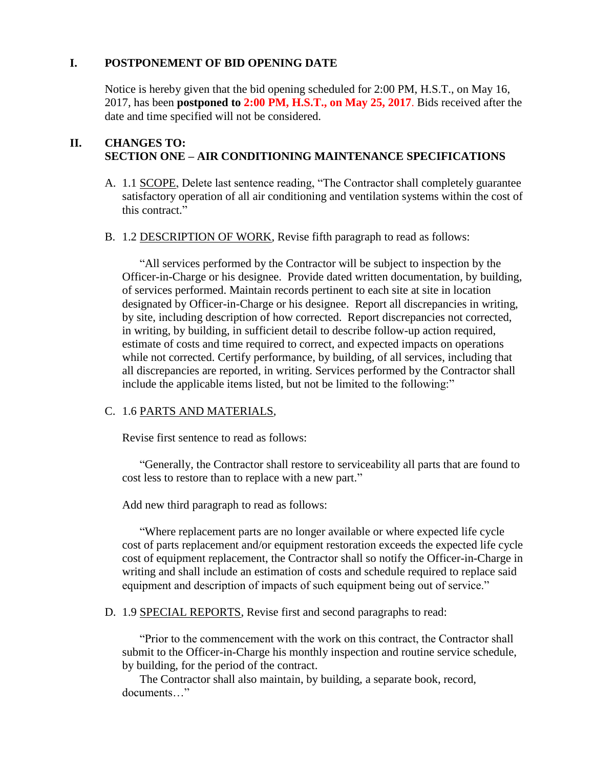### **I. POSTPONEMENT OF BID OPENING DATE**

Notice is hereby given that the bid opening scheduled for 2:00 PM, H.S.T., on May 16, 2017, has been **postponed to 2:00 PM, H.S.T., on May 25, 2017**. Bids received after the date and time specified will not be considered.

#### **II. CHANGES TO: SECTION ONE – AIR CONDITIONING MAINTENANCE SPECIFICATIONS**

- A. 1.1 SCOPE, Delete last sentence reading, "The Contractor shall completely guarantee satisfactory operation of all air conditioning and ventilation systems within the cost of this contract."
- B. 1.2 DESCRIPTION OF WORK, Revise fifth paragraph to read as follows:

"All services performed by the Contractor will be subject to inspection by the Officer-in-Charge or his designee. Provide dated written documentation, by building, of services performed. Maintain records pertinent to each site at site in location designated by Officer-in-Charge or his designee. Report all discrepancies in writing, by site, including description of how corrected. Report discrepancies not corrected, in writing, by building, in sufficient detail to describe follow-up action required, estimate of costs and time required to correct, and expected impacts on operations while not corrected. Certify performance, by building, of all services, including that all discrepancies are reported, in writing. Services performed by the Contractor shall include the applicable items listed, but not be limited to the following:"

# C. 1.6 PARTS AND MATERIALS,

Revise first sentence to read as follows:

"Generally, the Contractor shall restore to serviceability all parts that are found to cost less to restore than to replace with a new part."

Add new third paragraph to read as follows:

"Where replacement parts are no longer available or where expected life cycle cost of parts replacement and/or equipment restoration exceeds the expected life cycle cost of equipment replacement, the Contractor shall so notify the Officer-in-Charge in writing and shall include an estimation of costs and schedule required to replace said equipment and description of impacts of such equipment being out of service."

D. 1.9 SPECIAL REPORTS, Revise first and second paragraphs to read:

"Prior to the commencement with the work on this contract, the Contractor shall submit to the Officer-in-Charge his monthly inspection and routine service schedule, by building, for the period of the contract.

The Contractor shall also maintain, by building, a separate book, record, documents "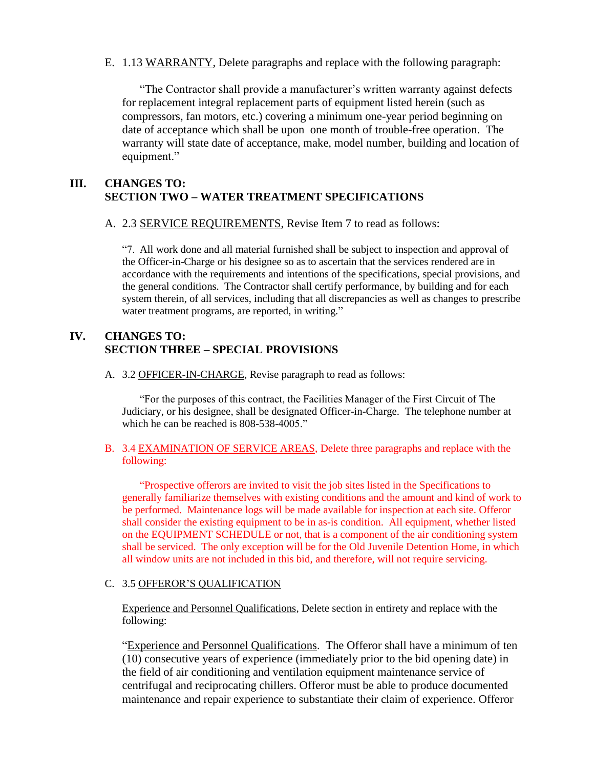E. 1.13 WARRANTY, Delete paragraphs and replace with the following paragraph:

"The Contractor shall provide a manufacturer"s written warranty against defects for replacement integral replacement parts of equipment listed herein (such as compressors, fan motors, etc.) covering a minimum one-year period beginning on date of acceptance which shall be upon one month of trouble-free operation. The warranty will state date of acceptance, make, model number, building and location of equipment."

# **III. CHANGES TO: SECTION TWO – WATER TREATMENT SPECIFICATIONS**

A. 2.3 SERVICE REQUIREMENTS, Revise Item 7 to read as follows:

"7. All work done and all material furnished shall be subject to inspection and approval of the Officer-in-Charge or his designee so as to ascertain that the services rendered are in accordance with the requirements and intentions of the specifications, special provisions, and the general conditions. The Contractor shall certify performance, by building and for each system therein, of all services, including that all discrepancies as well as changes to prescribe water treatment programs, are reported, in writing."

# **IV. CHANGES TO: SECTION THREE – SPECIAL PROVISIONS**

A. 3.2 OFFICER-IN-CHARGE, Revise paragraph to read as follows:

"For the purposes of this contract, the Facilities Manager of the First Circuit of The Judiciary, or his designee, shall be designated Officer-in-Charge. The telephone number at which he can be reached is 808-538-4005."

#### B. 3.4 EXAMINATION OF SERVICE AREAS, Delete three paragraphs and replace with the following:

"Prospective offerors are invited to visit the job sites listed in the Specifications to generally familiarize themselves with existing conditions and the amount and kind of work to be performed. Maintenance logs will be made available for inspection at each site. Offeror shall consider the existing equipment to be in as-is condition. All equipment, whether listed on the EQUIPMENT SCHEDULE or not, that is a component of the air conditioning system shall be serviced. The only exception will be for the Old Juvenile Detention Home, in which all window units are not included in this bid, and therefore, will not require servicing.

### C. 3.5 OFFEROR"S QUALIFICATION

Experience and Personnel Qualifications, Delete section in entirety and replace with the following:

"Experience and Personnel Qualifications. The Offeror shall have a minimum of ten (10) consecutive years of experience (immediately prior to the bid opening date) in the field of air conditioning and ventilation equipment maintenance service of centrifugal and reciprocating chillers. Offeror must be able to produce documented maintenance and repair experience to substantiate their claim of experience. Offeror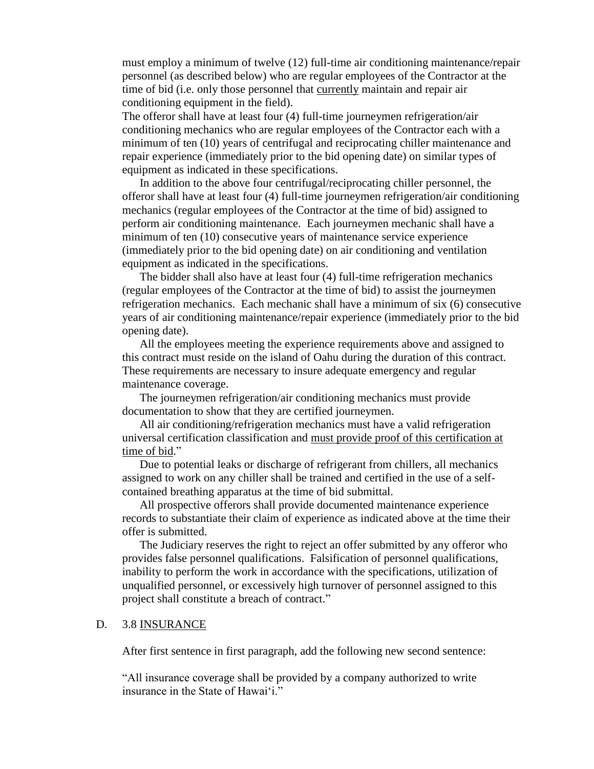must employ a minimum of twelve (12) full-time air conditioning maintenance/repair personnel (as described below) who are regular employees of the Contractor at the time of bid (i.e. only those personnel that currently maintain and repair air conditioning equipment in the field).

The offeror shall have at least four (4) full-time journeymen refrigeration/air conditioning mechanics who are regular employees of the Contractor each with a minimum of ten (10) years of centrifugal and reciprocating chiller maintenance and repair experience (immediately prior to the bid opening date) on similar types of equipment as indicated in these specifications.

In addition to the above four centrifugal/reciprocating chiller personnel, the offeror shall have at least four (4) full-time journeymen refrigeration/air conditioning mechanics (regular employees of the Contractor at the time of bid) assigned to perform air conditioning maintenance. Each journeymen mechanic shall have a minimum of ten (10) consecutive years of maintenance service experience (immediately prior to the bid opening date) on air conditioning and ventilation equipment as indicated in the specifications.

The bidder shall also have at least four (4) full-time refrigeration mechanics (regular employees of the Contractor at the time of bid) to assist the journeymen refrigeration mechanics. Each mechanic shall have a minimum of six (6) consecutive years of air conditioning maintenance/repair experience (immediately prior to the bid opening date).

All the employees meeting the experience requirements above and assigned to this contract must reside on the island of Oahu during the duration of this contract. These requirements are necessary to insure adequate emergency and regular maintenance coverage.

The journeymen refrigeration/air conditioning mechanics must provide documentation to show that they are certified journeymen.

All air conditioning/refrigeration mechanics must have a valid refrigeration universal certification classification and must provide proof of this certification at time of bid."

Due to potential leaks or discharge of refrigerant from chillers, all mechanics assigned to work on any chiller shall be trained and certified in the use of a selfcontained breathing apparatus at the time of bid submittal.

All prospective offerors shall provide documented maintenance experience records to substantiate their claim of experience as indicated above at the time their offer is submitted.

The Judiciary reserves the right to reject an offer submitted by any offeror who provides false personnel qualifications. Falsification of personnel qualifications, inability to perform the work in accordance with the specifications, utilization of unqualified personnel, or excessively high turnover of personnel assigned to this project shall constitute a breach of contract."

#### D. 3.8 INSURANCE

After first sentence in first paragraph, add the following new second sentence:

"All insurance coverage shall be provided by a company authorized to write insurance in the State of Hawai'i."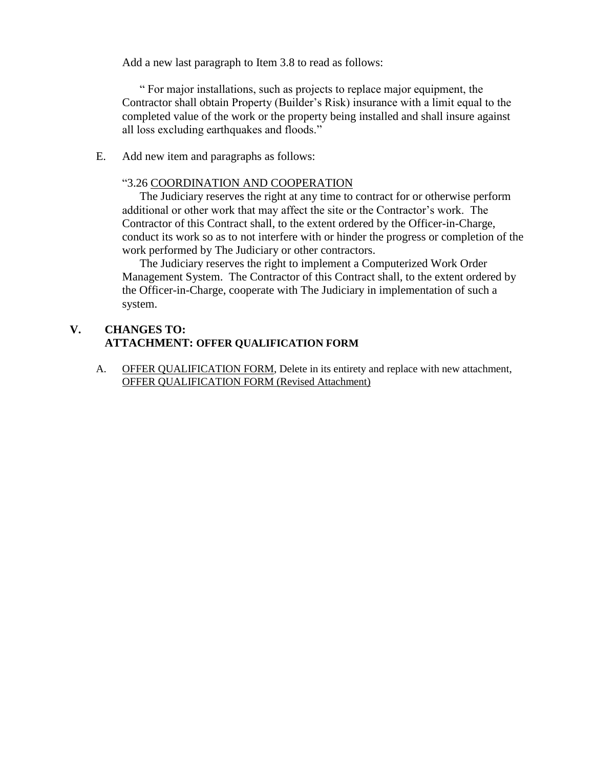Add a new last paragraph to Item 3.8 to read as follows:

" For major installations, such as projects to replace major equipment, the Contractor shall obtain Property (Builder"s Risk) insurance with a limit equal to the completed value of the work or the property being installed and shall insure against all loss excluding earthquakes and floods."

E. Add new item and paragraphs as follows:

#### "3.26 COORDINATION AND COOPERATION

The Judiciary reserves the right at any time to contract for or otherwise perform additional or other work that may affect the site or the Contractor"s work. The Contractor of this Contract shall, to the extent ordered by the Officer-in-Charge, conduct its work so as to not interfere with or hinder the progress or completion of the work performed by The Judiciary or other contractors.

The Judiciary reserves the right to implement a Computerized Work Order Management System. The Contractor of this Contract shall, to the extent ordered by the Officer-in-Charge, cooperate with The Judiciary in implementation of such a system.

## **V. CHANGES TO: ATTACHMENT: OFFER QUALIFICATION FORM**

A. OFFER QUALIFICATION FORM, Delete in its entirety and replace with new attachment, OFFER QUALIFICATION FORM (Revised Attachment)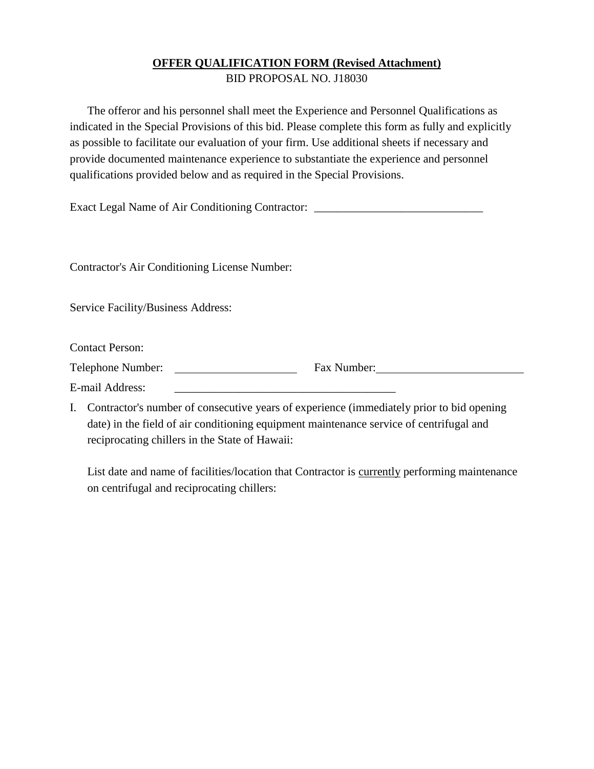### **OFFER QUALIFICATION FORM (Revised Attachment)** BID PROPOSAL NO. J18030

The offeror and his personnel shall meet the Experience and Personnel Qualifications as indicated in the Special Provisions of this bid. Please complete this form as fully and explicitly as possible to facilitate our evaluation of your firm. Use additional sheets if necessary and provide documented maintenance experience to substantiate the experience and personnel qualifications provided below and as required in the Special Provisions.

Exact Legal Name of Air Conditioning Contractor: \_\_\_\_\_\_\_\_\_\_\_\_\_\_\_\_\_\_\_\_\_\_\_\_\_\_\_\_\_\_\_

Contractor's Air Conditioning License Number:

Service Facility/Business Address:

Contact Person:

Telephone Number: Fax Number:

E-mail Address:

I. Contractor's number of consecutive years of experience (immediately prior to bid opening date) in the field of air conditioning equipment maintenance service of centrifugal and reciprocating chillers in the State of Hawaii:

List date and name of facilities/location that Contractor is currently performing maintenance on centrifugal and reciprocating chillers: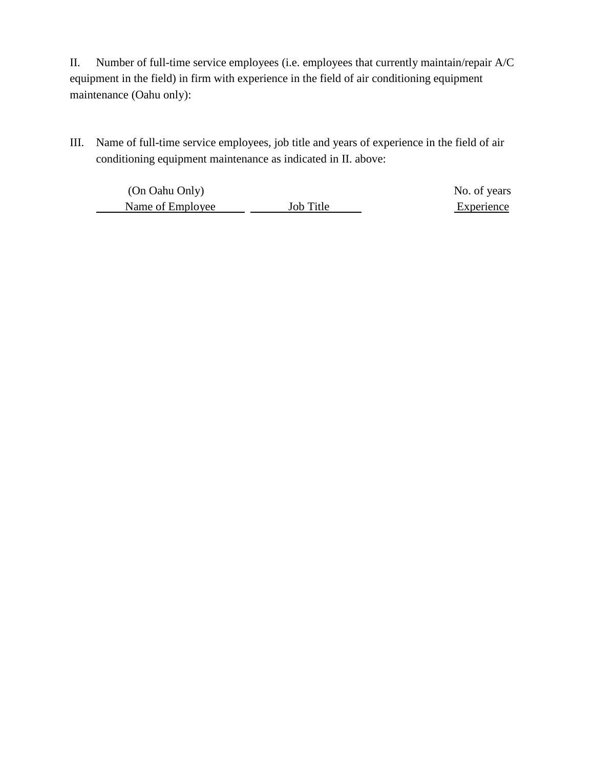II. Number of full-time service employees (i.e. employees that currently maintain/repair A/C equipment in the field) in firm with experience in the field of air conditioning equipment maintenance (Oahu only):

III. Name of full-time service employees, job title and years of experience in the field of air conditioning equipment maintenance as indicated in II. above:

(On Oahu Only) No. of years Name of Employee Job Title George Experience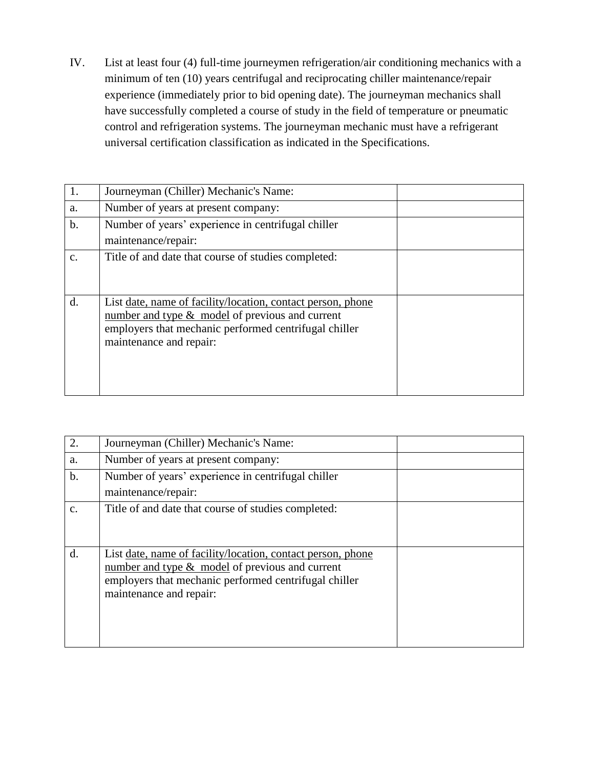IV. List at least four (4) full-time journeymen refrigeration/air conditioning mechanics with a minimum of ten (10) years centrifugal and reciprocating chiller maintenance/repair experience (immediately prior to bid opening date). The journeyman mechanics shall have successfully completed a course of study in the field of temperature or pneumatic control and refrigeration systems. The journeyman mechanic must have a refrigerant universal certification classification as indicated in the Specifications.

|                | Journeyman (Chiller) Mechanic's Name:                       |  |
|----------------|-------------------------------------------------------------|--|
| a.             | Number of years at present company:                         |  |
| $\mathbf b$ .  | Number of years' experience in centrifugal chiller          |  |
|                | maintenance/repair:                                         |  |
| $\mathbf{C}$ . | Title of and date that course of studies completed:         |  |
|                |                                                             |  |
|                |                                                             |  |
| d.             | List date, name of facility/location, contact person, phone |  |
|                | number and type $\&$ model of previous and current          |  |
|                | employers that mechanic performed centrifugal chiller       |  |
|                | maintenance and repair:                                     |  |
|                |                                                             |  |
|                |                                                             |  |
|                |                                                             |  |

| 2.            | Journeyman (Chiller) Mechanic's Name:                                                                                                                                                                |  |
|---------------|------------------------------------------------------------------------------------------------------------------------------------------------------------------------------------------------------|--|
| a.            | Number of years at present company:                                                                                                                                                                  |  |
| $\mathbf b$ . | Number of years' experience in centrifugal chiller                                                                                                                                                   |  |
|               | maintenance/repair:                                                                                                                                                                                  |  |
| c.            | Title of and date that course of studies completed:                                                                                                                                                  |  |
| d.            | List date, name of facility/location, contact person, phone<br>number and type $&$ model of previous and current<br>employers that mechanic performed centrifugal chiller<br>maintenance and repair: |  |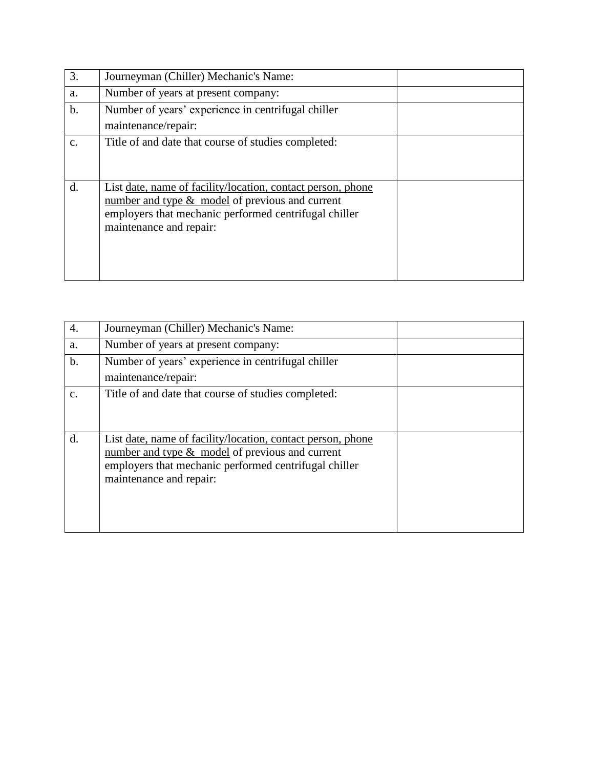| 3.            | Journeyman (Chiller) Mechanic's Name:                                                                                                                                                                |  |
|---------------|------------------------------------------------------------------------------------------------------------------------------------------------------------------------------------------------------|--|
| a.            | Number of years at present company:                                                                                                                                                                  |  |
| $\mathbf b$ . | Number of years' experience in centrifugal chiller                                                                                                                                                   |  |
|               | maintenance/repair:                                                                                                                                                                                  |  |
| $C_{\cdot}$   | Title of and date that course of studies completed:                                                                                                                                                  |  |
| d.            | List date, name of facility/location, contact person, phone<br>number and type $&$ model of previous and current<br>employers that mechanic performed centrifugal chiller<br>maintenance and repair: |  |

| 4.             | Journeyman (Chiller) Mechanic's Name:                                                                                                                                                                 |  |
|----------------|-------------------------------------------------------------------------------------------------------------------------------------------------------------------------------------------------------|--|
| a.             | Number of years at present company:                                                                                                                                                                   |  |
| $\mathbf b$ .  | Number of years' experience in centrifugal chiller                                                                                                                                                    |  |
|                | maintenance/repair:                                                                                                                                                                                   |  |
| C <sub>1</sub> | Title of and date that course of studies completed:                                                                                                                                                   |  |
| d.             | List date, name of facility/location, contact person, phone<br>number and type $\&$ model of previous and current<br>employers that mechanic performed centrifugal chiller<br>maintenance and repair: |  |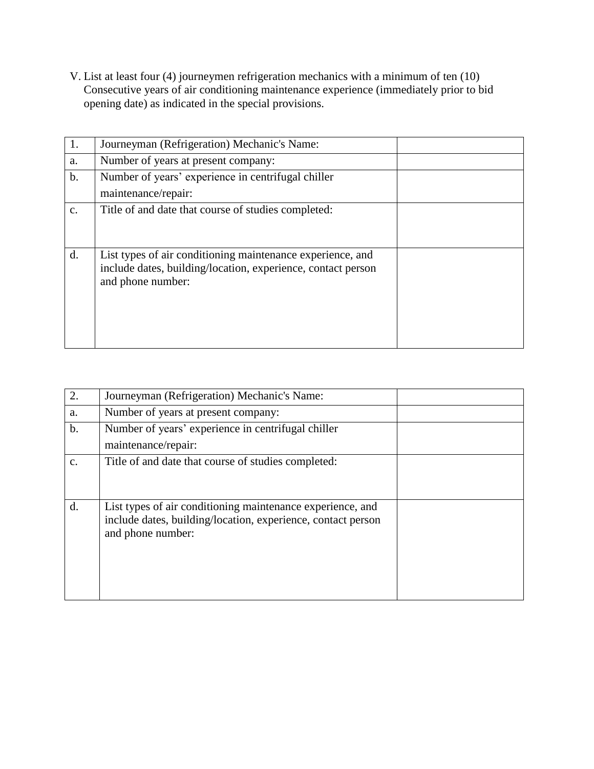V. List at least four (4) journeymen refrigeration mechanics with a minimum of ten (10) Consecutive years of air conditioning maintenance experience (immediately prior to bid opening date) as indicated in the special provisions.

| 1. | Journeyman (Refrigeration) Mechanic's Name:                  |  |
|----|--------------------------------------------------------------|--|
| a. | Number of years at present company:                          |  |
| b. | Number of years' experience in centrifugal chiller           |  |
|    | maintenance/repair:                                          |  |
| c. | Title of and date that course of studies completed:          |  |
|    |                                                              |  |
|    |                                                              |  |
| d. | List types of air conditioning maintenance experience, and   |  |
|    | include dates, building/location, experience, contact person |  |
|    | and phone number:                                            |  |
|    |                                                              |  |
|    |                                                              |  |
|    |                                                              |  |
|    |                                                              |  |

|               | Journeyman (Refrigeration) Mechanic's Name:                                                                                                     |  |
|---------------|-------------------------------------------------------------------------------------------------------------------------------------------------|--|
| a.            | Number of years at present company:                                                                                                             |  |
| $\mathbf b$ . | Number of years' experience in centrifugal chiller<br>maintenance/repair:                                                                       |  |
|               |                                                                                                                                                 |  |
| $C_{\cdot}$   | Title of and date that course of studies completed:                                                                                             |  |
| d.            | List types of air conditioning maintenance experience, and<br>include dates, building/location, experience, contact person<br>and phone number: |  |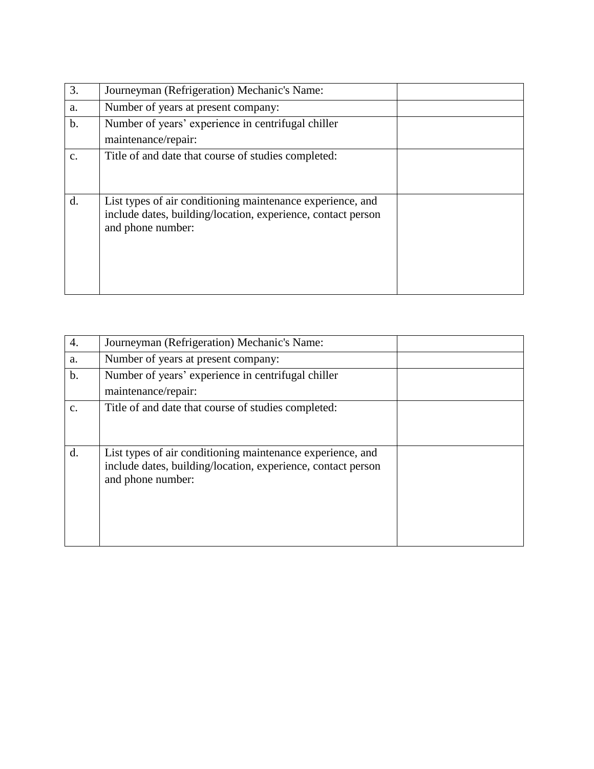| 3.    | Journeyman (Refrigeration) Mechanic's Name:                                                                                                     |  |
|-------|-------------------------------------------------------------------------------------------------------------------------------------------------|--|
| a.    | Number of years at present company:                                                                                                             |  |
| $b$ . | Number of years' experience in centrifugal chiller<br>maintenance/repair:                                                                       |  |
| c.    | Title of and date that course of studies completed:                                                                                             |  |
| d.    | List types of air conditioning maintenance experience, and<br>include dates, building/location, experience, contact person<br>and phone number: |  |

| $\overline{4}$ . | Journeyman (Refrigeration) Mechanic's Name:                                                                                                     |  |
|------------------|-------------------------------------------------------------------------------------------------------------------------------------------------|--|
| a.               | Number of years at present company:                                                                                                             |  |
| $b$ .            | Number of years' experience in centrifugal chiller<br>maintenance/repair:                                                                       |  |
| c.               | Title of and date that course of studies completed:                                                                                             |  |
| $\mathbf{d}$ .   | List types of air conditioning maintenance experience, and<br>include dates, building/location, experience, contact person<br>and phone number: |  |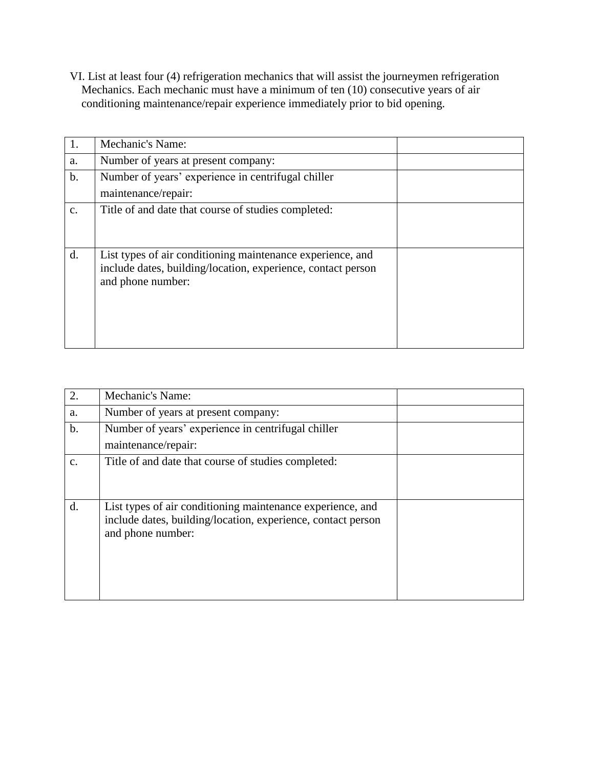VI. List at least four (4) refrigeration mechanics that will assist the journeymen refrigeration Mechanics. Each mechanic must have a minimum of ten (10) consecutive years of air conditioning maintenance/repair experience immediately prior to bid opening.

|               | Mechanic's Name:                                                                                                                                |  |
|---------------|-------------------------------------------------------------------------------------------------------------------------------------------------|--|
| a.            | Number of years at present company:                                                                                                             |  |
| $\mathbf b$ . | Number of years' experience in centrifugal chiller<br>maintenance/repair:                                                                       |  |
| $C_{\bullet}$ | Title of and date that course of studies completed:                                                                                             |  |
| d.            | List types of air conditioning maintenance experience, and<br>include dates, building/location, experience, contact person<br>and phone number: |  |

| 2.             | Mechanic's Name:                                             |  |
|----------------|--------------------------------------------------------------|--|
| a.             | Number of years at present company:                          |  |
| $\mathbf b$ .  | Number of years' experience in centrifugal chiller           |  |
|                | maintenance/repair:                                          |  |
| $\mathbf{C}$ . | Title of and date that course of studies completed:          |  |
|                |                                                              |  |
|                |                                                              |  |
| d.             | List types of air conditioning maintenance experience, and   |  |
|                | include dates, building/location, experience, contact person |  |
|                | and phone number:                                            |  |
|                |                                                              |  |
|                |                                                              |  |
|                |                                                              |  |
|                |                                                              |  |